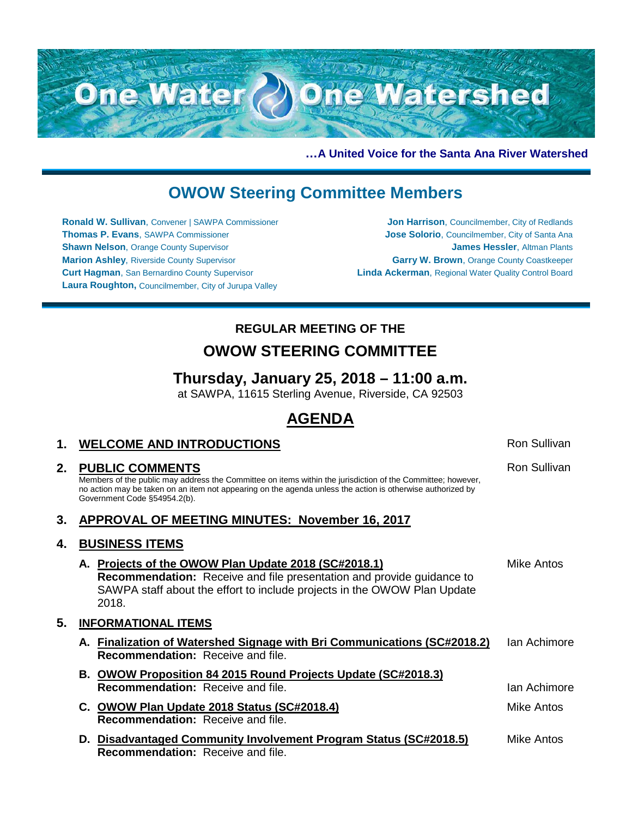

**…A United Voice for the Santa Ana River Watershed**

# **OWOW Steering Committee Members**

**Ronald W. Sullivan**, Convener | SAWPA Commissioner **Thomas P. Evans**, SAWPA Commissioner **Shawn Nelson, Orange County Supervisor Marion Ashley**, Riverside County Supervisor **Curt Hagman**, San Bernardino County Supervisor **Laura Roughton,** Councilmember, City of Jurupa Valley

**Jon Harrison**, Councilmember, City of Redlands **Jose Solorio**, Councilmember, City of Santa Ana **James Hessler**, Altman Plants **Garry W. Brown**, Orange County Coastkeeper **Linda Ackerman**, Regional Water Quality Control Board

# **REGULAR MEETING OF THE**

# **OWOW STEERING COMMITTEE**

## **Thursday, January 25, 2018 – 11:00 a.m.**

at SAWPA, 11615 Sterling Avenue, Riverside, CA 92503

# **AGENDA**

| 1. | <b>WELCOME AND INTRODUCTIONS</b>                                                                                                                                                                                                                                                | Ron Sullivan |  |  |
|----|---------------------------------------------------------------------------------------------------------------------------------------------------------------------------------------------------------------------------------------------------------------------------------|--------------|--|--|
|    | 2. PUBLIC COMMENTS<br>Members of the public may address the Committee on items within the jurisdiction of the Committee; however,<br>no action may be taken on an item not appearing on the agenda unless the action is otherwise authorized by<br>Government Code §54954.2(b). | Ron Sullivan |  |  |
| 3. | <b>APPROVAL OF MEETING MINUTES: November 16, 2017</b>                                                                                                                                                                                                                           |              |  |  |
| 4. | <b>BUSINESS ITEMS</b>                                                                                                                                                                                                                                                           |              |  |  |
|    | A. Projects of the OWOW Plan Update 2018 (SC#2018.1)<br><b>Recommendation:</b> Receive and file presentation and provide guidance to<br>SAWPA staff about the effort to include projects in the OWOW Plan Update<br>2018.                                                       | Mike Antos   |  |  |
| 5. | <b>INFORMATIONAL ITEMS</b>                                                                                                                                                                                                                                                      |              |  |  |
|    | A. Finalization of Watershed Signage with Bri Communications (SC#2018.2)<br><b>Recommendation:</b> Receive and file.                                                                                                                                                            | Ian Achimore |  |  |
|    | B. OWOW Proposition 84 2015 Round Projects Update (SC#2018.3)<br><b>Recommendation:</b> Receive and file.                                                                                                                                                                       | Ian Achimore |  |  |
|    | C. OWOW Plan Update 2018 Status (SC#2018.4)<br><b>Recommendation: Receive and file.</b>                                                                                                                                                                                         | Mike Antos   |  |  |
|    | D. Disadvantaged Community Involvement Program Status (SC#2018.5)<br><b>Recommendation:</b> Receive and file.                                                                                                                                                                   | Mike Antos   |  |  |